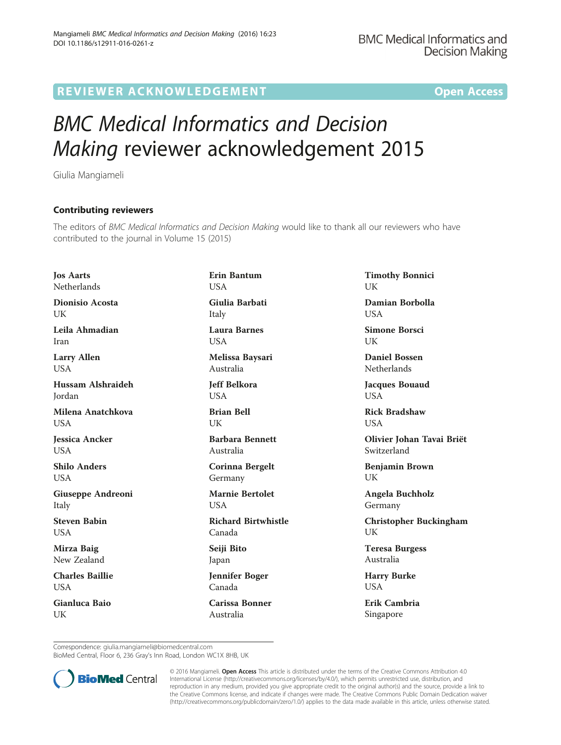## R EVI EW E R ACKNOW L EDG EM EN T Open Access

## BMC Medical Informatics and Decision Making reviewer acknowledgement 2015

Giulia Mangiameli

## Contributing reviewers

The editors of BMC Medical Informatics and Decision Making would like to thank all our reviewers who have contributed to the journal in Volume 15 (2015)

Jos Aarts Netherlands

Dionisio Acosta UK

Leila Ahmadian Iran

Larry Allen **I** IS A

Hussam Alshraideh Jordan

Milena Anatchkova **I** ISA

Jessica Ancker **USA** 

Shilo Anders **I** ISA

Giuseppe Andreoni Italy

Steven Babin **USA** 

Mirza Baig New Zealand

Charles Baillie **USA** 

Gianluca Baio UK

Erin Bantum **USA** Giulia Barbati Italy Laura Barnes **USA** 

Melissa Baysari Australia

Jeff Belkora **USA** 

Brian Bell UK

Barbara Bennett Australia

Corinna Bergelt Germany

Marnie Bertolet **USA** 

Richard Birtwhistle Canada

Seiji Bito Japan

Jennifer Boger Canada

Carissa Bonner Australia

Timothy Bonnici **I** IK

Damian Borbolla **USA** 

Simone Borsci **I** IK

Daniel Bossen **Netherlands** 

Jacques Bouaud **USA** 

Rick Bradshaw USA

Olivier Johan Tavai Briët Switzerland

Benjamin Brown UK

Angela Buchholz Germany

Christopher Buckingham UK

Teresa Burgess Australia

Harry Burke USA

Erik Cambria Singapore

Correspondence: [giulia.mangiameli@biomedcentral.com](mailto:giulia.mangiameli@biomedcentral.com)

BioMed Central, Floor 6, 236 Gray's Inn Road, London WC1X 8HB, UK



© 2016 Mangiameli. Open Access This article is distributed under the terms of the Creative Commons Attribution 4.0 International License [\(http://creativecommons.org/licenses/by/4.0/](http://creativecommons.org/licenses/by/4.0/)), which permits unrestricted use, distribution, and reproduction in any medium, provided you give appropriate credit to the original author(s) and the source, provide a link to the Creative Commons license, and indicate if changes were made. The Creative Commons Public Domain Dedication waiver [\(http://creativecommons.org/publicdomain/zero/1.0/](http://creativecommons.org/publicdomain/zero/1.0/)) applies to the data made available in this article, unless otherwise stated.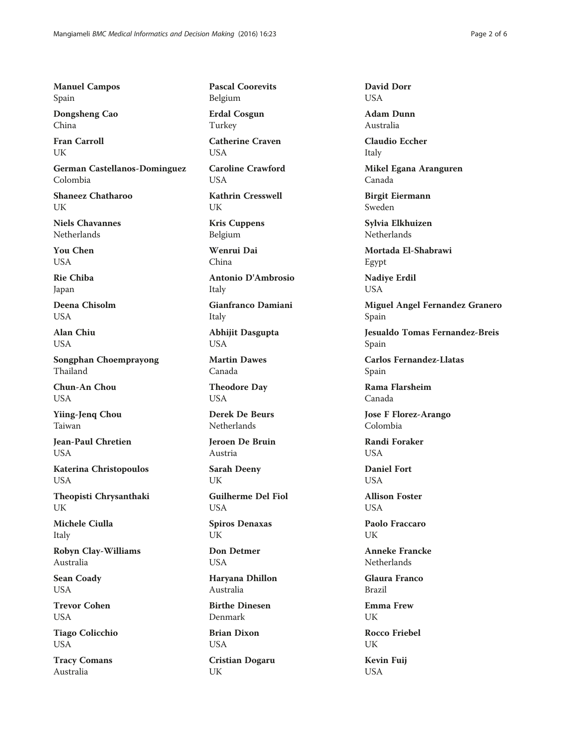Manuel Campos Spain

Dongsheng Cao China

Fran Carroll UK

German Castellanos-Dominguez Colombia

Shaneez Chatharoo UK

Niels Chavannes Netherlands

You Chen **USA** 

Rie Chiba Japan

Deena Chisolm USA

Alan Chiu **USA** 

Songphan Choemprayong Thailand

Chun-An Chou USA

Yiing-Jenq Chou Taiwan

Jean-Paul Chretien USA

Katerina Christopoulos USA

Theopisti Chrysanthaki **UK** 

Michele Ciulla Italy

Robyn Clay-Williams Australia

Sean Coady **USA** 

Trevor Cohen USA

Tiago Colicchio USA

Tracy Comans Australia

Pascal Coorevits Belgium

Erdal Cosgun Turkey

Catherine Craven **USA** 

Caroline Crawford **USA** 

Kathrin Cresswell UK

Kris Cuppens Belgium

Wenrui Dai China

Antonio D'Ambrosio Italy

Gianfranco Damiani Italy

Abhijit Dasgupta USA

Martin Dawes Canada

Theodore Day USA

Derek De Beurs Netherlands

Jeroen De Bruin Austria

Sarah Deeny UK

Guilherme Del Fiol USA

Spiros Denaxas UK

Don Detmer USA

Haryana Dhillon Australia

Birthe Dinesen Denmark

Brian Dixon USA

Cristian Dogaru UK

David Dorr **USA** 

Adam Dunn Australia

Claudio Eccher Italy

Mikel Egana Aranguren Canada

Birgit Eiermann Sweden

Sylvia Elkhuizen Netherlands

Mortada El-Shabrawi Egypt

Nadiye Erdil USA

Miguel Angel Fernandez Granero Spain

Jesualdo Tomas Fernandez-Breis Spain

Carlos Fernandez-Llatas Spain

Rama Flarsheim Canada

Jose F Florez-Arango Colombia

Randi Foraker **USA** 

Daniel Fort **USA** 

Allison Foster **USA** 

Paolo Fraccaro UK

Anneke Francke Netherlands

Glaura Franco Brazil

Emma Frew UK

Rocco Friebel UK

Kevin Fuij USA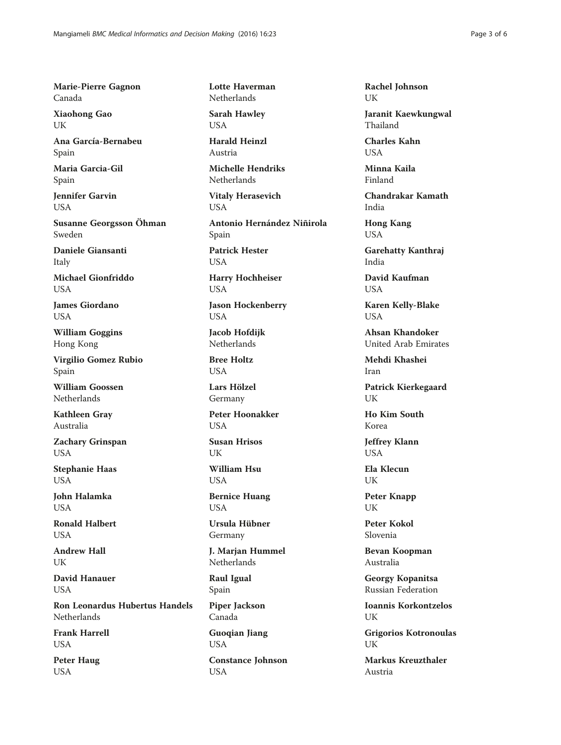Marie-Pierre Gagnon Canada

Xiaohong Gao **UK** 

Ana García-Bernabeu Spain

Maria Garcia-Gil Spain

Jennifer Garvin **USA** 

Susanne Georgsson Öhman Sweden

Daniele Giansanti Italy

Michael Gionfriddo **USA** 

James Giordano USA

William Goggins Hong Kong

Virgilio Gomez Rubio Spain

William Goossen Netherlands

Kathleen Gray Australia

Zachary Grinspan USA

Stephanie Haas **USA** 

John Halamka **USA** 

Ronald Halbert **USA** 

Andrew Hall UK

David Hanauer **USA** 

Ron Leonardus Hubertus Handels Netherlands

Frank Harrell **USA** 

Peter Haug **USA** 

Lotte Haverman **Netherlands** 

Sarah Hawley USA

Harald Heinzl Austria

Michelle Hendriks Netherlands

Vitaly Herasevich USA

Antonio Hernández Niñirola Spain

Patrick Hester **USA** 

Harry Hochheiser USA

Jason Hockenberry USA

Jacob Hofdijk Netherlands

Bree Holtz **USA** 

Lars Hölzel Germany

Peter Hoonakker **USA** 

Susan Hrisos UK

William Hsu USA

Bernice Huang USA

Ursula Hübner Germany

J. Marjan Hummel **Netherlands** 

Raul Igual Spain

Piper Jackson Canada

Guoqian Jiang USA Constance Johnson USA

Rachel Johnson UK

Jaranit Kaewkungwal Thailand

Charles Kahn **USA** 

Minna Kaila Finland

Chandrakar Kamath India

Hong Kang USA

Garehatty Kanthraj India

David Kaufman USA

Karen Kelly-Blake **USA** 

Ahsan Khandoker United Arab Emirates

Mehdi Khashei Iran

Patrick Kierkegaard UK

Ho Kim South Korea

Jeffrey Klann USA

Ela Klecun UK

Peter Knapp **I**IK

Peter Kokol Slovenia

Bevan Koopman Australia

Georgy Kopanitsa Russian Federation

Ioannis Korkontzelos **I**IK

Grigorios Kotronoulas UK

Markus Kreuzthaler Austria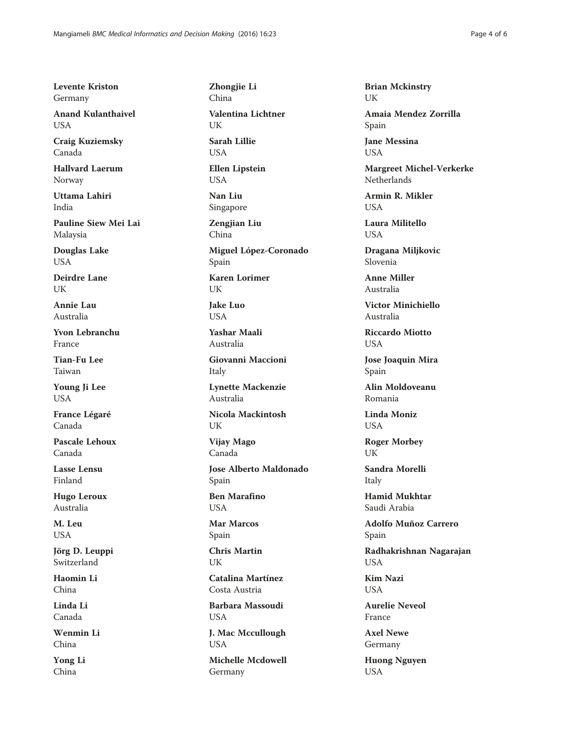Levente Kriston Germany

Anand Kulanthaivel **USA** 

Craig Kuziemsky Canada

Hallvard Laerum Norway

Uttama Lahiri India

Pauline Siew Mei Lai Malaysia

Douglas Lake **USA** 

Deirdre Lane UK

Annie Lau Australia

Yvon Lebranchu France

Tian-Fu Lee Taiwan

Young Ji Lee USA

France Légaré Canada

Pascale Lehoux Canada

Lasse Lensu Finland

Hugo Leroux Australia

M. Leu USA

Jörg D. Leuppi Switzerland

Haomin Li China

Linda Li Canada

Wenmin Li China

Yong Li China

Zhongjie Li China

Valentina Lichtner UK

Sarah Lillie **USA** 

Ellen Lipstein USA

Nan Liu Singapore

Zengiian Liu China

Miguel López-Coronado Spain Karen Lorimer UK

Jake Luo **USA** 

Yashar Maali Australia

Giovanni Maccioni Italy

Lynette Mackenzie Australia

Nicola Mackintosh UK

Vijay Mago Canada

Jose Alberto Maldonado Spain

Ben Marafino **USA** 

Mar Marcos Spain

Chris Martin UK

Catalina Martínez Costa Austria

Barbara Massoudi USA

J. Mac Mccullough USA Michelle Mcdowell

Germany

Brian Mckinstry UK

Amaia Mendez Zorrilla Spain

Jane Messina **USA** 

Margreet Michel-Verkerke Netherlands

Armin R. Mikler **USA** 

Laura Militello **USA** 

Dragana Miljkovic Slovenia

Anne Miller Australia

Victor Minichiello Australia

Riccardo Miotto **USA** 

Jose Joaquin Mira Spain

Alin Moldoveanu Romania

Linda Moniz **USA** 

Roger Morbey UK

Sandra Morelli Italy

Hamid Mukhtar Saudi Arabia

Adolfo Muñoz Carrero Spain

Radhakrishnan Nagarajan USA

Kim Nazi **USA** 

Aurelie Neveol France

Axel Newe Germany

Huong Nguyen USA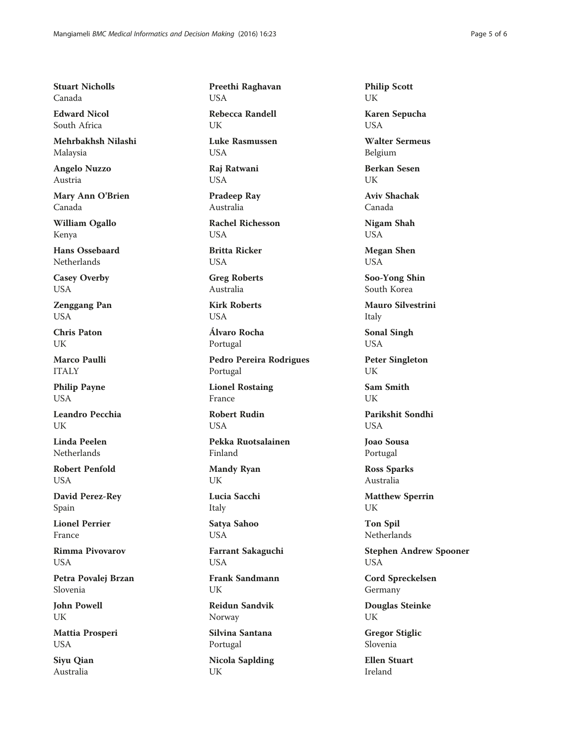Stuart Nicholls Canada

Edward Nicol South Africa

Mehrbakhsh Nilashi Malaysia

Angelo Nuzzo Austria

Mary Ann O'Brien Canada

William Ogallo Kenya

Hans Ossebaard Netherlands

Casey Overby USA

Zenggang Pan USA

Chris Paton UK

Marco Paulli ITALY

Philip Payne USA

Leandro Pecchia UK

Linda Peelen Netherlands

Robert Penfold **USA** 

David Perez-Rey Spain

Lionel Perrier France

Rimma Pivovarov **USA** 

Petra Povalej Brzan Slovenia

John Powell UK

Mattia Prosperi USA

Siyu Qian Australia

Preethi Raghavan USA

Rebecca Randell UK

Luke Rasmussen **USA** 

Raj Ratwani USA

Pradeep Ray Australia

Rachel Richesson **USA** 

Britta Ricker **USA** 

Greg Roberts Australia

Kirk Roberts **USA** 

Álvaro Rocha Portugal

Pedro Pereira Rodrigues Portugal

Lionel Rostaing France

Robert Rudin **USA** 

Pekka Ruotsalainen Finland

Mandy Ryan UK

Lucia Sacchi

Italy Satya Sahoo

USA

Farrant Sakaguchi USA

Frank Sandmann UK

Reidun Sandvik Norway

Silvina Santana Portugal

Nicola Saplding UK

Philip Scott UK

Karen Sepucha USA

Walter Sermeus Belgium

Berkan Sesen UK

Aviv Shachak Canada

Nigam Shah USA

Megan Shen USA

Soo-Yong Shin South Korea

Mauro Silvestrini Italy

Sonal Singh USA

Peter Singleton **I**IK

Sam Smith UK

Parikshit Sondhi **USA** 

Joao Sousa Portugal

Ross Sparks Australia

Matthew Sperrin UK

Ton Spil Netherlands

Stephen Andrew Spooner USA

Cord Spreckelsen Germany

Douglas Steinke UK

Gregor Stiglic Slovenia

Ellen Stuart Ireland